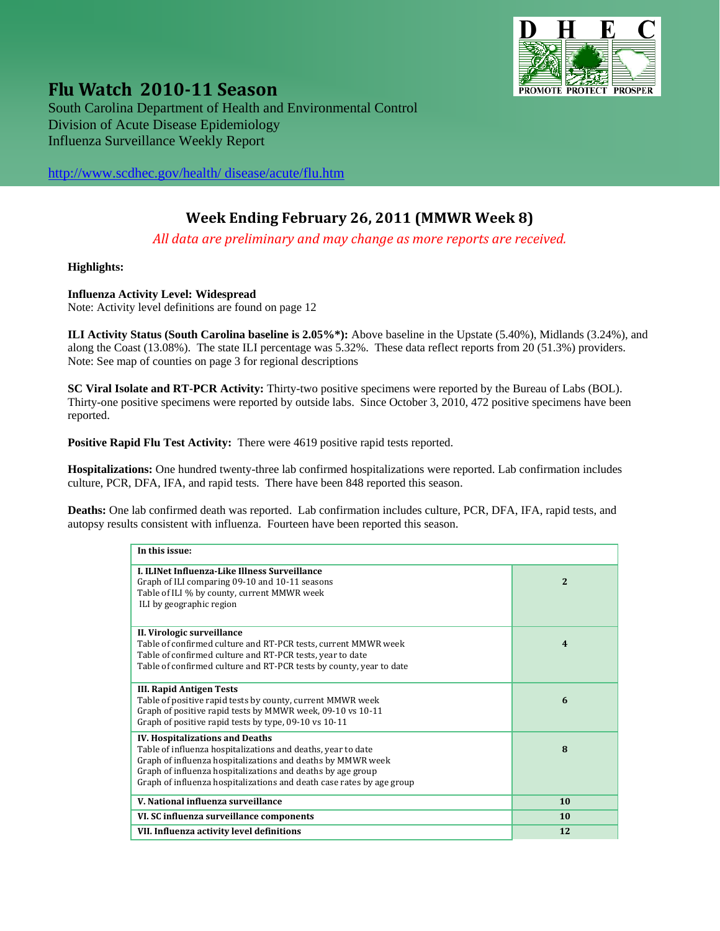

**Flu Watch <sup>2010</sup><sup>11</sup> Season** South Carolina Department of Health and Environmental Control Division of Acute Disease Epidemiology Influenza Surveillance Weekly Report

[http://www.scdhec.gov/health/ disease/acute/flu.htm](http://www.scdhec.gov/health/%20disease/acute/flu.htm) 

## **Week Ending February 26, 2011 (MMWR Week 8)**

*All data are preliminary and may change as more reports are received.*

**Highlights:** 

#### **Influenza Activity Level: Widespread**

Note: Activity level definitions are found on page 12

**ILI Activity Status (South Carolina baseline is 2.05%\*):** Above baseline in the Upstate (5.40%), Midlands (3.24%), and along the Coast (13.08%). The state ILI percentage was 5.32%. These data reflect reports from 20 (51.3%) providers. Note: See map of counties on page 3 for regional descriptions

**SC Viral Isolate and RT-PCR Activity:** Thirty-two positive specimens were reported by the Bureau of Labs (BOL). Thirty-one positive specimens were reported by outside labs. Since October 3, 2010, 472 positive specimens have been reported.

**Positive Rapid Flu Test Activity:** There were 4619 positive rapid tests reported.

**Hospitalizations:** One hundred twenty-three lab confirmed hospitalizations were reported. Lab confirmation includes culture, PCR, DFA, IFA, and rapid tests. There have been 848 reported this season.

**Deaths:** One lab confirmed death was reported. Lab confirmation includes culture, PCR, DFA, IFA, rapid tests, and autopsy results consistent with influenza. Fourteen have been reported this season.

| In this issue:                                                                                                                                                                                                                                                                                                |                         |  |
|---------------------------------------------------------------------------------------------------------------------------------------------------------------------------------------------------------------------------------------------------------------------------------------------------------------|-------------------------|--|
| <b>L. ILINet Influenza-Like Illness Surveillance</b><br>Graph of ILI comparing 09-10 and 10-11 seasons<br>Table of ILI % by county, current MMWR week<br>ILI by geographic region                                                                                                                             | $\overline{2}$          |  |
| II. Virologic surveillance<br>Table of confirmed culture and RT-PCR tests, current MMWR week<br>Table of confirmed culture and RT-PCR tests, year to date<br>Table of confirmed culture and RT-PCR tests by county, year to date                                                                              | $\overline{\mathbf{4}}$ |  |
| <b>III. Rapid Antigen Tests</b><br>Table of positive rapid tests by county, current MMWR week<br>Graph of positive rapid tests by MMWR week, 09-10 vs 10-11<br>Graph of positive rapid tests by type, 09-10 vs 10-11                                                                                          | 6                       |  |
| <b>IV. Hospitalizations and Deaths</b><br>Table of influenza hospitalizations and deaths, year to date<br>Graph of influenza hospitalizations and deaths by MMWR week<br>Graph of influenza hospitalizations and deaths by age group<br>Graph of influenza hospitalizations and death case rates by age group | 8                       |  |
| V. National influenza surveillance                                                                                                                                                                                                                                                                            | 10                      |  |
| VI. SC influenza surveillance components                                                                                                                                                                                                                                                                      | 10                      |  |
| VII. Influenza activity level definitions                                                                                                                                                                                                                                                                     | 12                      |  |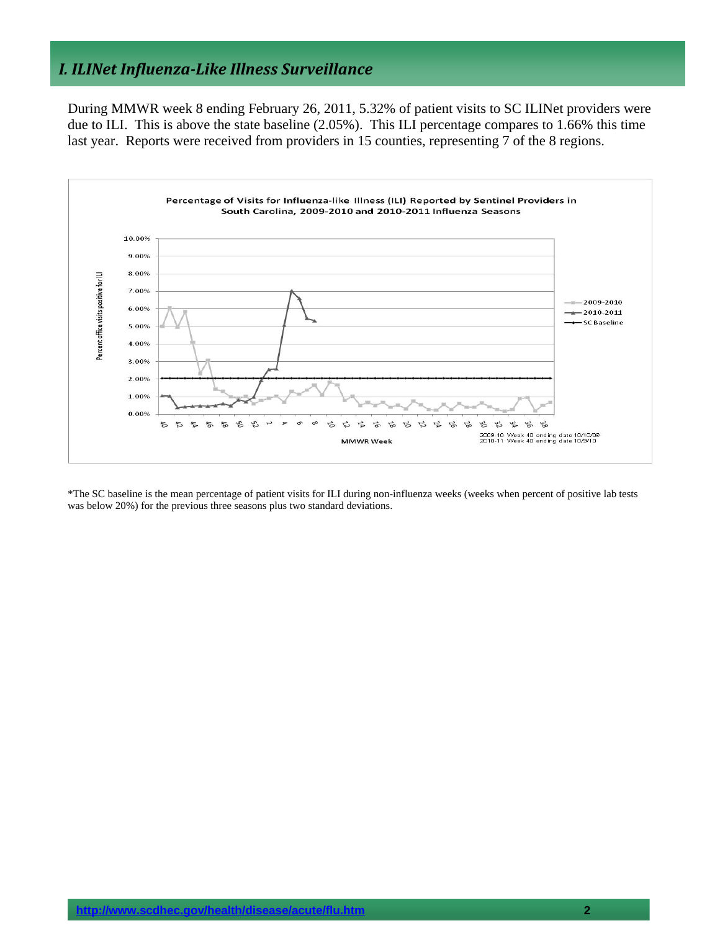## *I. ILINet InfluenzaLike Illness Surveillance*

During MMWR week 8 ending February 26, 2011, 5.32% of patient visits to SC ILINet providers were due to ILI. This is above the state baseline (2.05%). This ILI percentage compares to 1.66% this time last year. Reports were received from providers in 15 counties, representing 7 of the 8 regions.



\*The SC baseline is the mean percentage of patient visits for ILI during non-influenza weeks (weeks when percent of positive lab tests was below 20%) for the previous three seasons plus two standard deviations.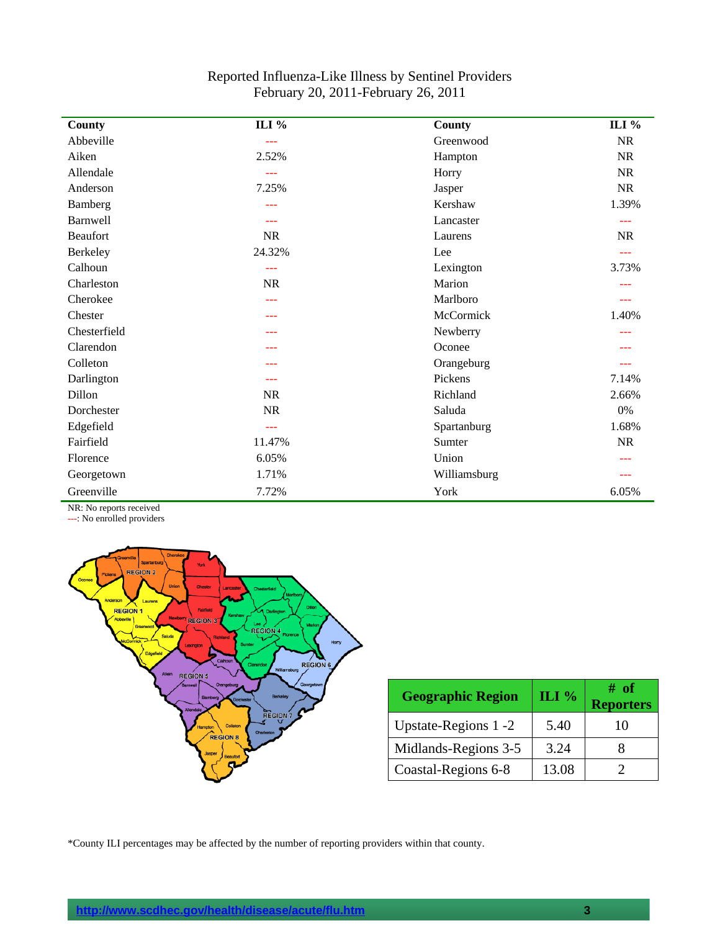| County          | ILI %                                                                                                                                                                                                                                                                                                                                                                                        | <b>County</b> | ILI %     |
|-----------------|----------------------------------------------------------------------------------------------------------------------------------------------------------------------------------------------------------------------------------------------------------------------------------------------------------------------------------------------------------------------------------------------|---------------|-----------|
| Abbeville       | $-$                                                                                                                                                                                                                                                                                                                                                                                          | Greenwood     | <b>NR</b> |
| Aiken           | 2.52%                                                                                                                                                                                                                                                                                                                                                                                        | Hampton       | <b>NR</b> |
| Allendale       | $-$                                                                                                                                                                                                                                                                                                                                                                                          | Horry         | <b>NR</b> |
| Anderson        | 7.25%                                                                                                                                                                                                                                                                                                                                                                                        | Jasper        | <b>NR</b> |
| Bamberg         | ---                                                                                                                                                                                                                                                                                                                                                                                          | Kershaw       | 1.39%     |
| Barnwell        | ---                                                                                                                                                                                                                                                                                                                                                                                          | Lancaster     | ---       |
| <b>Beaufort</b> | NR                                                                                                                                                                                                                                                                                                                                                                                           | Laurens       | <b>NR</b> |
| Berkeley        | 24.32%                                                                                                                                                                                                                                                                                                                                                                                       | Lee           | ---       |
| Calhoun         | ---                                                                                                                                                                                                                                                                                                                                                                                          | Lexington     | 3.73%     |
| Charleston      | <b>NR</b>                                                                                                                                                                                                                                                                                                                                                                                    | Marion        |           |
| Cherokee        | ---                                                                                                                                                                                                                                                                                                                                                                                          | Marlboro      | ---       |
| Chester         | ---                                                                                                                                                                                                                                                                                                                                                                                          | McCormick     | 1.40%     |
| Chesterfield    | ---                                                                                                                                                                                                                                                                                                                                                                                          | Newberry      |           |
| Clarendon       | ---                                                                                                                                                                                                                                                                                                                                                                                          | Oconee        |           |
| Colleton        | ---                                                                                                                                                                                                                                                                                                                                                                                          | Orangeburg    | ---       |
| Darlington      | ---                                                                                                                                                                                                                                                                                                                                                                                          | Pickens       | 7.14%     |
| Dillon          | <b>NR</b>                                                                                                                                                                                                                                                                                                                                                                                    | Richland      | 2.66%     |
| Dorchester      | $\rm NR$                                                                                                                                                                                                                                                                                                                                                                                     | Saluda        | $0\%$     |
| Edgefield       | $\frac{1}{2} \frac{1}{2} \frac{1}{2} \frac{1}{2} \frac{1}{2} \frac{1}{2} \frac{1}{2} \frac{1}{2} \frac{1}{2} \frac{1}{2} \frac{1}{2} \frac{1}{2} \frac{1}{2} \frac{1}{2} \frac{1}{2} \frac{1}{2} \frac{1}{2} \frac{1}{2} \frac{1}{2} \frac{1}{2} \frac{1}{2} \frac{1}{2} \frac{1}{2} \frac{1}{2} \frac{1}{2} \frac{1}{2} \frac{1}{2} \frac{1}{2} \frac{1}{2} \frac{1}{2} \frac{1}{2} \frac{$ | Spartanburg   | 1.68%     |
| Fairfield       | 11.47%                                                                                                                                                                                                                                                                                                                                                                                       | Sumter        | NR        |
| Florence        | 6.05%                                                                                                                                                                                                                                                                                                                                                                                        | Union         |           |
| Georgetown      | 1.71%                                                                                                                                                                                                                                                                                                                                                                                        | Williamsburg  |           |
| Greenville      | 7.72%                                                                                                                                                                                                                                                                                                                                                                                        | York          | 6.05%     |

### Reported Influenza-Like Illness by Sentinel Providers February 20, 2011-February 26, 2011

NR: No reports received

---: No enrolled providers



| <b>Geographic Region</b> | ILI % | # of<br><b>Reporters</b> |
|--------------------------|-------|--------------------------|
| Upstate-Regions 1 -2     | 5.40  | 10                       |
| Midlands-Regions 3-5     | 3.24  |                          |
| Coastal-Regions 6-8      | 13.08 |                          |

\*County ILI percentages may be affected by the number of reporting providers within that county.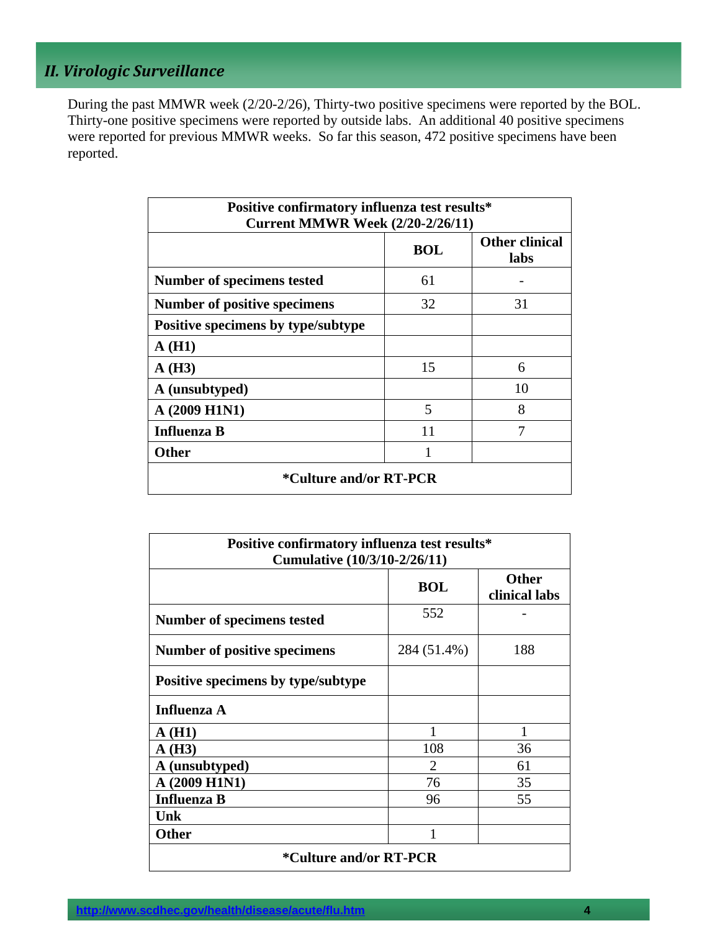## *II. Virologic Surveillance*

During the past MMWR week (2/20-2/26), Thirty-two positive specimens were reported by the BOL. Thirty-one positive specimens were reported by outside labs. An additional 40 positive specimens were reported for previous MMWR weeks. So far this season, 472 positive specimens have been reported.

| Positive confirmatory influenza test results*<br><b>Current MMWR Week (2/20-2/26/11)</b> |            |                               |  |  |
|------------------------------------------------------------------------------------------|------------|-------------------------------|--|--|
|                                                                                          | <b>BOL</b> | <b>Other clinical</b><br>labs |  |  |
| Number of specimens tested                                                               | 61         |                               |  |  |
| Number of positive specimens                                                             | 32         | 31                            |  |  |
| Positive specimens by type/subtype                                                       |            |                               |  |  |
| A(H1)                                                                                    |            |                               |  |  |
| A(H3)                                                                                    | 15         | 6                             |  |  |
| A (unsubtyped)                                                                           |            | 10                            |  |  |
| A (2009 H1N1)                                                                            | 5          | 8                             |  |  |
| <b>Influenza B</b>                                                                       | 11         | 7                             |  |  |
| <b>Other</b>                                                                             |            |                               |  |  |
| *Culture and/or RT-PCR                                                                   |            |                               |  |  |

| Positive confirmatory influenza test results*<br><b>Cumulative (10/3/10-2/26/11)</b> |                             |                               |  |  |
|--------------------------------------------------------------------------------------|-----------------------------|-------------------------------|--|--|
|                                                                                      | <b>BOL</b>                  | <b>Other</b><br>clinical labs |  |  |
| Number of specimens tested                                                           | 552                         |                               |  |  |
| Number of positive specimens                                                         | 188                         |                               |  |  |
| Positive specimens by type/subtype                                                   |                             |                               |  |  |
| Influenza A                                                                          |                             |                               |  |  |
| A(H1)                                                                                | 1                           | 1                             |  |  |
| A(H3)                                                                                | 108                         | 36                            |  |  |
| A (unsubtyped)                                                                       | $\mathcal{D}_{\mathcal{L}}$ | 61                            |  |  |
| A (2009 H1N1)                                                                        | 76                          | 35                            |  |  |
| <b>Influenza B</b>                                                                   | 96                          | 55                            |  |  |
| Unk                                                                                  |                             |                               |  |  |
| Other                                                                                | 1                           |                               |  |  |
| <i>*</i> Culture and/or RT-PCR                                                       |                             |                               |  |  |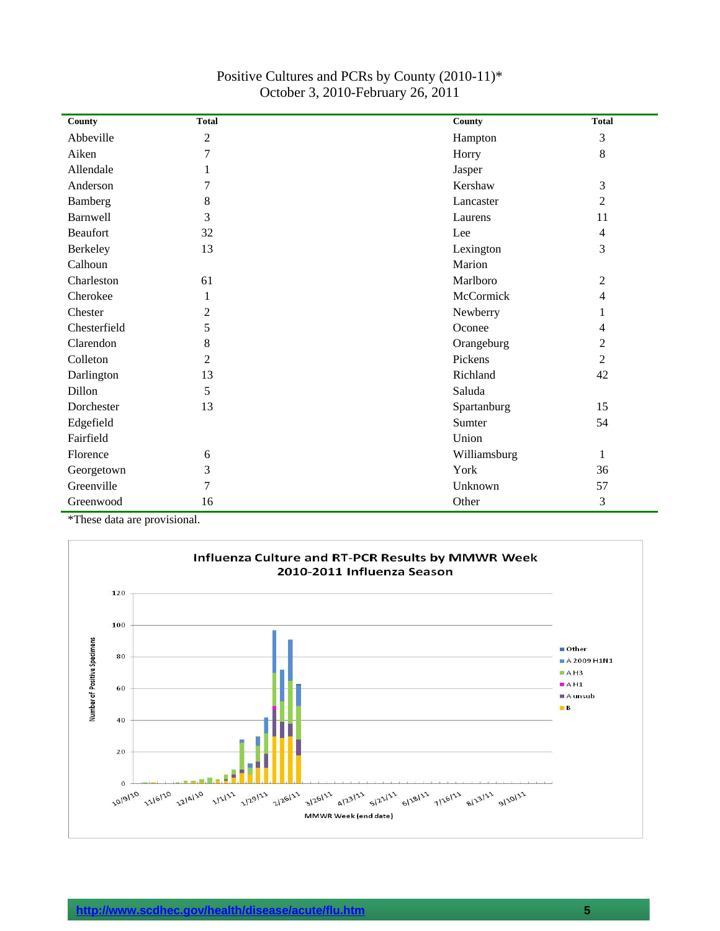| County          | <b>Total</b>   | County       | <b>Total</b>   |
|-----------------|----------------|--------------|----------------|
| Abbeville       | $\overline{c}$ | Hampton      | 3              |
| Aiken           | $\overline{7}$ | Horry        | 8              |
| Allendale       |                | Jasper       |                |
| Anderson        | 7              | Kershaw      | 3              |
| Bamberg         | 8              | Lancaster    | $\overline{2}$ |
| Barnwell        | 3              | Laurens      | 11             |
| <b>Beaufort</b> | 32             | Lee          | $\overline{4}$ |
| Berkeley        | 13             | Lexington    | 3              |
| Calhoun         |                | Marion       |                |
| Charleston      | 61             | Marlboro     | $\overline{2}$ |
| Cherokee        | 1              | McCormick    | 4              |
| Chester         | $\overline{2}$ | Newberry     | 1              |
| Chesterfield    | 5              | Oconee       | 4              |
| Clarendon       | 8              | Orangeburg   | $\overline{2}$ |
| Colleton        | $\overline{2}$ | Pickens      | $\overline{2}$ |
| Darlington      | 13             | Richland     | 42             |
| Dillon          | 5              | Saluda       |                |
| Dorchester      | 13             | Spartanburg  | 15             |
| Edgefield       |                | Sumter       | 54             |
| Fairfield       |                | Union        |                |
| Florence        | 6              | Williamsburg | $\mathbf{1}$   |
| Georgetown      | 3              | York         | 36             |
| Greenville      | $\overline{7}$ | Unknown      | 57             |
| Greenwood       | 16             | Other        | 3              |

#### Positive Cultures and PCRs by County (2010-11)\* October 3, 2010-February 26, 2011

\*These data are provisional.

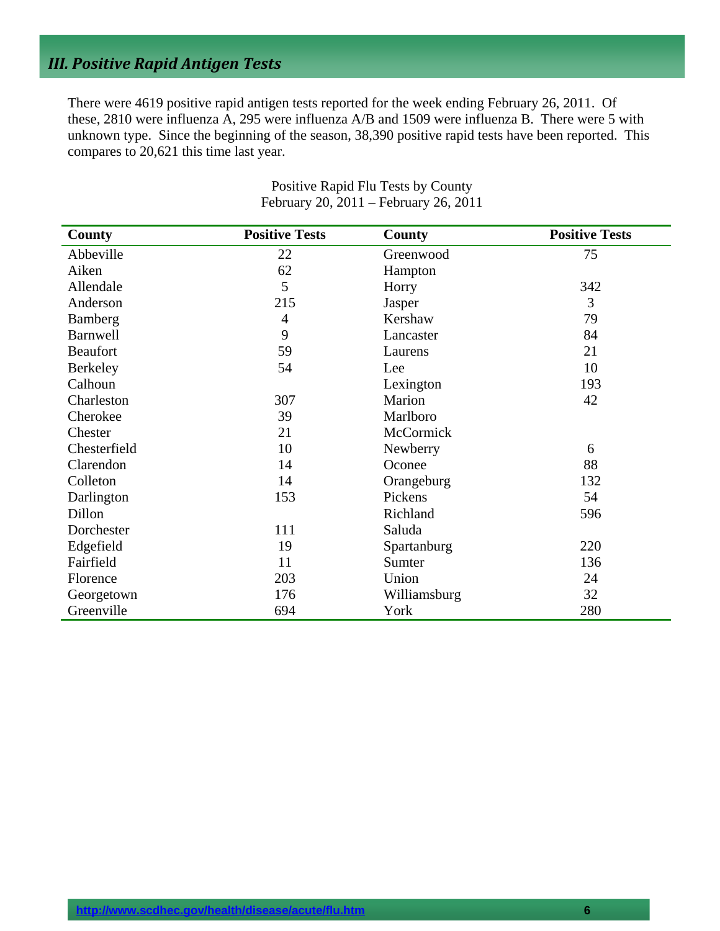## *III. Positive Rapid Antigen Tests*

There were 4619 positive rapid antigen tests reported for the week ending February 26, 2011. Of these, 2810 were influenza A, 295 were influenza A/B and 1509 were influenza B. There were 5 with unknown type. Since the beginning of the season, 38,390 positive rapid tests have been reported. This compares to 20,621 this time last year.

| County          | <b>Positive Tests</b> | County       | <b>Positive Tests</b> |
|-----------------|-----------------------|--------------|-----------------------|
| Abbeville       | 22                    | Greenwood    | 75                    |
| Aiken           | 62                    | Hampton      |                       |
| Allendale       | 5                     | Horry        | 342                   |
| Anderson        | 215                   | Jasper       | 3                     |
| Bamberg         | 4                     | Kershaw      | 79                    |
| <b>Barnwell</b> | 9                     | Lancaster    | 84                    |
| <b>Beaufort</b> | 59                    | Laurens      | 21                    |
| <b>Berkeley</b> | 54                    | Lee          | 10                    |
| Calhoun         |                       | Lexington    | 193                   |
| Charleston      | 307                   | Marion       | 42                    |
| Cherokee        | 39                    | Marlboro     |                       |
| Chester         | 21                    | McCormick    |                       |
| Chesterfield    | 10                    | Newberry     | 6                     |
| Clarendon       | 14                    | Oconee       | 88                    |
| Colleton        | 14                    | Orangeburg   | 132                   |
| Darlington      | 153                   | Pickens      | 54                    |
| Dillon          |                       | Richland     | 596                   |
| Dorchester      | 111                   | Saluda       |                       |
| Edgefield       | 19                    | Spartanburg  | 220                   |
| Fairfield       | 11                    | Sumter       | 136                   |
| Florence        | 203                   | Union        | 24                    |
| Georgetown      | 176                   | Williamsburg | 32                    |
| Greenville      | 694                   | York         | 280                   |

Positive Rapid Flu Tests by County February 20, 2011 – February 26, 2011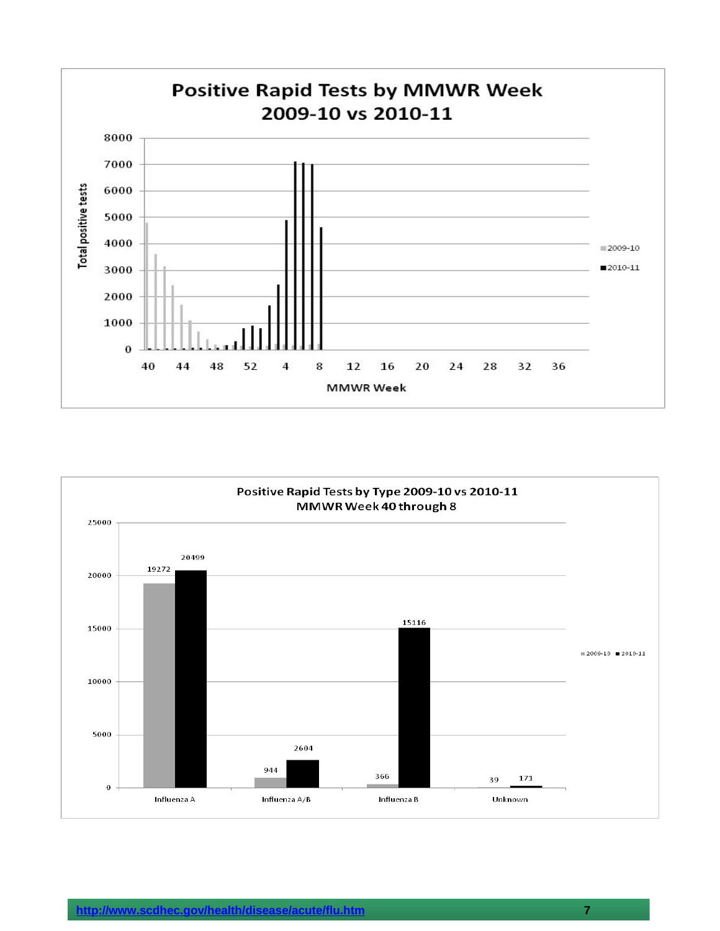

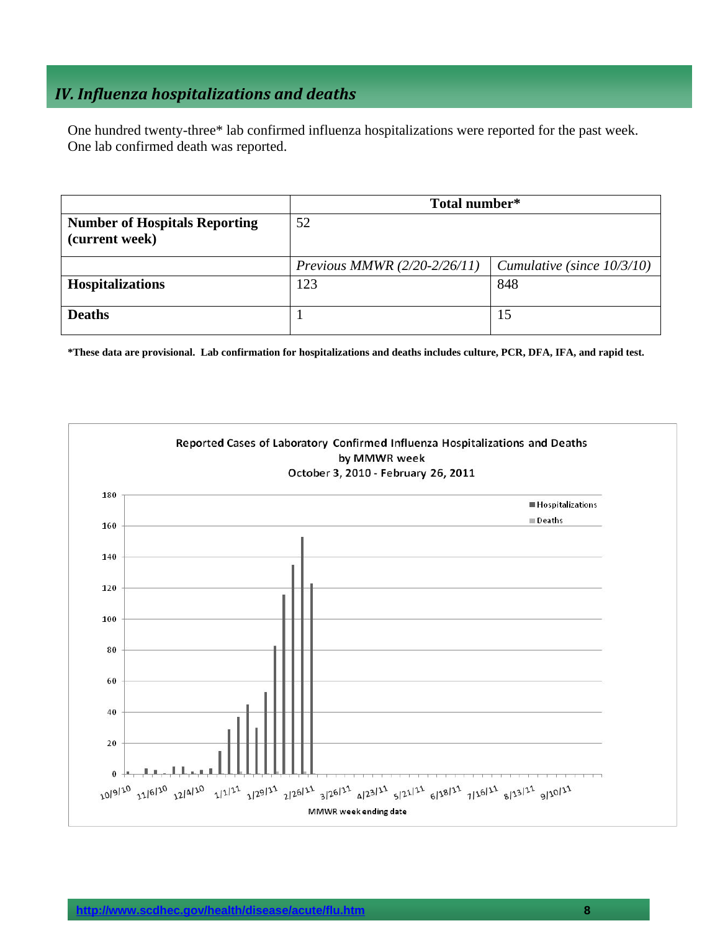## *IV. Influenza hospitalizations and deaths*

One hundred twenty-three\* lab confirmed influenza hospitalizations were reported for the past week. One lab confirmed death was reported.

|                                                        | Total number*                  |                               |  |
|--------------------------------------------------------|--------------------------------|-------------------------------|--|
| <b>Number of Hospitals Reporting</b><br>(current week) | 52                             |                               |  |
|                                                        | Previous MMWR $(2/20-2/26/11)$ | Cumulative (since $10/3/10$ ) |  |
| <b>Hospitalizations</b>                                | 123                            | 848                           |  |
| <b>Deaths</b>                                          |                                | 15                            |  |

**\*These data are provisional. Lab confirmation for hospitalizations and deaths includes culture, PCR, DFA, IFA, and rapid test.**

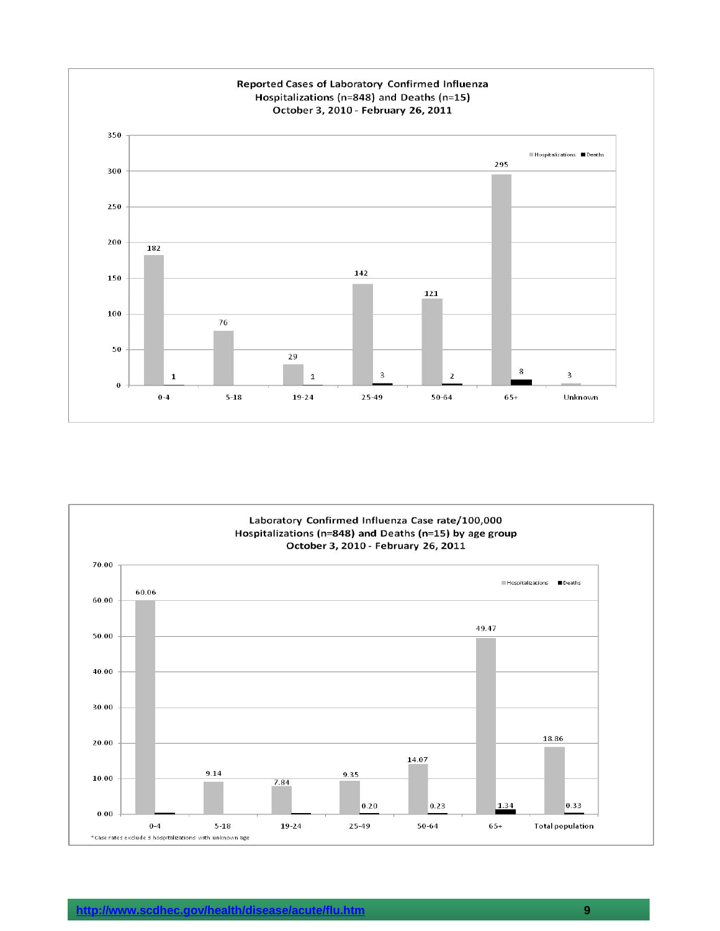

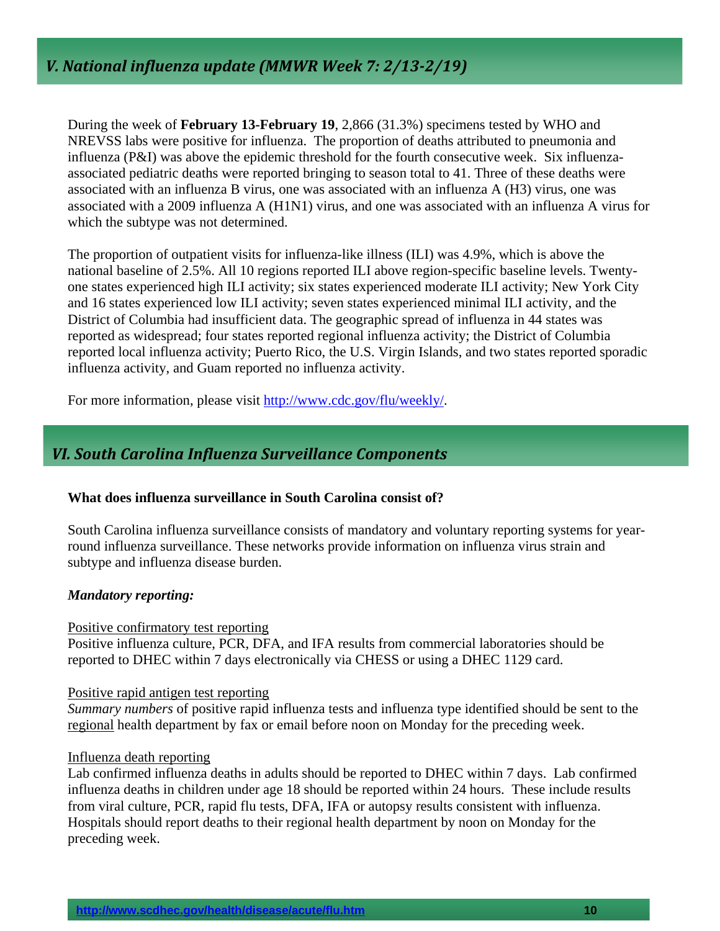During the week of **February 13-February 19**, 2,866 (31.3%) specimens tested by WHO and NREVSS labs were positive for influenza. The proportion of deaths attributed to pneumonia and influenza (P&I) was above the epidemic threshold for the fourth consecutive week. Six influenzaassociated pediatric deaths were reported bringing to season total to 41. Three of these deaths were associated with an influenza B virus, one was associated with an influenza A (H3) virus, one was associated with a 2009 influenza A (H1N1) virus, and one was associated with an influenza A virus for which the subtype was not determined.

The proportion of outpatient visits for influenza-like illness (ILI) was 4.9%, which is above the national baseline of 2.5%. All 10 regions reported ILI above region-specific baseline levels. Twentyone states experienced high ILI activity; six states experienced moderate ILI activity; New York City and 16 states experienced low ILI activity; seven states experienced minimal ILI activity, and the District of Columbia had insufficient data. The geographic spread of influenza in 44 states was reported as widespread; four states reported regional influenza activity; the District of Columbia reported local influenza activity; Puerto Rico, the U.S. Virgin Islands, and two states reported sporadic influenza activity, and Guam reported no influenza activity.

For more information, please visit http://www.cdc.gov/flu/weekly/.

## *VI. South Carolina Influenza Surveillance Components*

#### **What does influenza surveillance in South Carolina consist of?**

South Carolina influenza surveillance consists of mandatory and voluntary reporting systems for yearround influenza surveillance. These networks provide information on influenza virus strain and subtype and influenza disease burden.

#### *Mandatory reporting:*

#### Positive confirmatory test reporting

Positive influenza culture, PCR, DFA, and IFA results from commercial laboratories should be reported to DHEC within 7 days electronically via CHESS or using a DHEC 1129 card.

#### Positive rapid antigen test reporting

*Summary numbers* of positive rapid influenza tests and influenza type identified should be sent to the regional health department by fax or email before noon on Monday for the preceding week.

#### Influenza death reporting

Lab confirmed influenza deaths in adults should be reported to DHEC within 7 days. Lab confirmed influenza deaths in children under age 18 should be reported within 24 hours. These include results from viral culture, PCR, rapid flu tests, DFA, IFA or autopsy results consistent with influenza. Hospitals should report deaths to their regional health department by noon on Monday for the preceding week.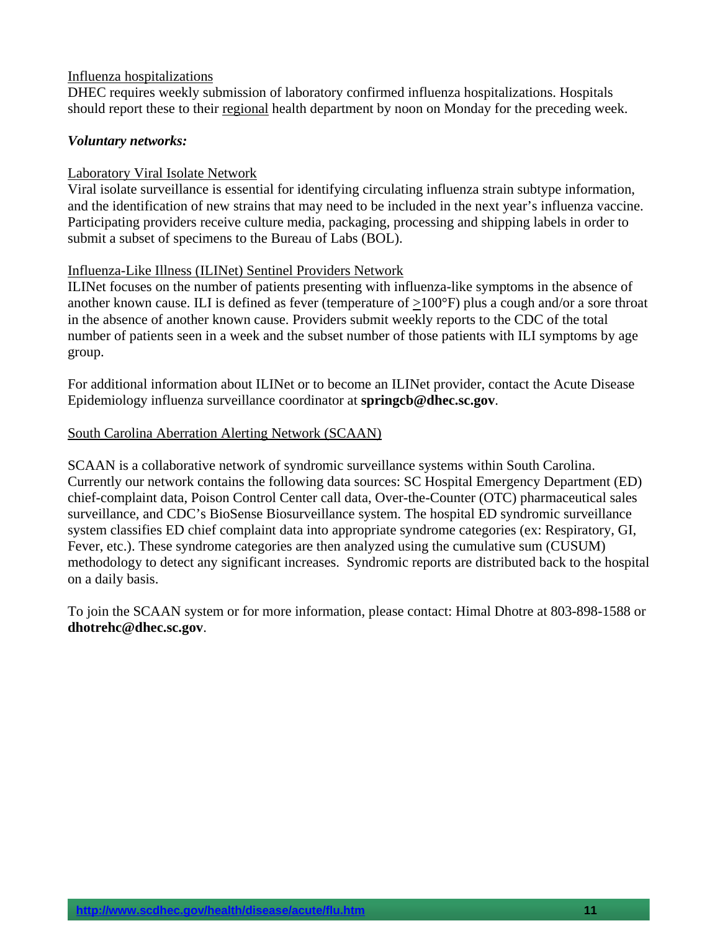#### Influenza hospitalizations

DHEC requires weekly submission of laboratory confirmed influenza hospitalizations. Hospitals should report these to their regional health department by noon on Monday for the preceding week.

#### *Voluntary networks:*

#### Laboratory Viral Isolate Network

Viral isolate surveillance is essential for identifying circulating influenza strain subtype information, and the identification of new strains that may need to be included in the next year's influenza vaccine. Participating providers receive culture media, packaging, processing and shipping labels in order to submit a subset of specimens to the Bureau of Labs (BOL).

#### Influenza-Like Illness (ILINet) Sentinel Providers Network

ILINet focuses on the number of patients presenting with influenza-like symptoms in the absence of another known cause. ILI is defined as fever (temperature of >100°F) plus a cough and/or a sore throat in the absence of another known cause. Providers submit weekly reports to the CDC of the total number of patients seen in a week and the subset number of those patients with ILI symptoms by age group.

For additional information about ILINet or to become an ILINet provider, contact the Acute Disease Epidemiology influenza surveillance coordinator at **springcb@dhec.sc.gov**.

#### South Carolina Aberration Alerting Network (SCAAN)

SCAAN is a collaborative network of syndromic surveillance systems within South Carolina. Currently our network contains the following data sources: SC Hospital Emergency Department (ED) chief-complaint data, Poison Control Center call data, Over-the-Counter (OTC) pharmaceutical sales surveillance, and CDC's BioSense Biosurveillance system. The hospital ED syndromic surveillance system classifies ED chief complaint data into appropriate syndrome categories (ex: Respiratory, GI, Fever, etc.). These syndrome categories are then analyzed using the cumulative sum (CUSUM) methodology to detect any significant increases. Syndromic reports are distributed back to the hospital on a daily basis.

To join the SCAAN system or for more information, please contact: Himal Dhotre at 803-898-1588 or **dhotrehc@dhec.sc.gov**.